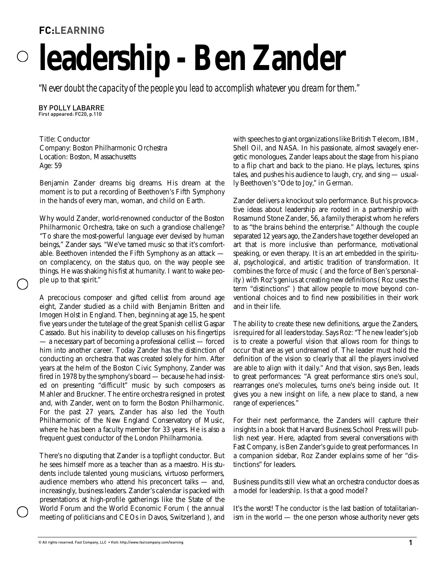## **FC :L E A R N I N G**

# **leadership - Ben Zander**

*"Never doubt the capacity of the people you lead to accomplish whatever you dream for them."*

BY POLLY LABARRE First appeared: FC20, p.110

Title: Conductor Company: Boston Philharmonic Orchestra Location: Boston, Massachusetts Age: 59

Benjamin Zander dreams big dreams. His dream at the moment is to put a recording of Beethoven's Fifth Symphony in the hands of every man, woman, and child on Earth.

Why would Zander, world-renowned conductor of the Boston Philharmonic Orchestra, take on such a grandiose challenge? "To share the most-powerful language ever devised by human beings," Zander says. "We've tamed music so that it's comfortable. Beethoven intended the Fifth Symphony as an attack on complacency, on the status quo, on the way people see things. He was shaking his fist at humanity. I want to wake people up to that spirit."

A precocious composer and gifted cellist from around age eight, Zander studied as a child with Benjamin Britten and Imogen Holst in England. Then, beginning at age 15, he spent five years under the tutelage of the great Spanish cellist Gaspar Cassado. But his inability to develop calluses on his fingertips — a necessary part of becoming a professional cellist — forced him into another career. Today Zander has the distinction of conducting an orchestra that was created solely for him. After years at the helm of the Boston Civic Symphony, Zander was fired in 1978 by the symphony's board — because he had insisted on presenting "difficult" music by such composers as Mahler and Bruckner. The entire orchestra resigned in protest and, with Zander, went on to form the Boston Philharmonic. For the past 27 years, Zander has also led the Youth Philharmonic of the New England Conservatory of Music, where he has been a faculty member for 33 years. He is also a frequent guest conductor of the London Philharmonia.

There's no disputing that Zander is a topflight conductor. But he sees himself more as a teacher than as a maestro. His students include talented young musicians, virtuoso performers, audience members who attend his preconcert talks — and, increasingly, business leaders. Zander's calendar is packed with presentations at high-profile gatherings like the State of the World Forum and the World Economic Forum ( the annual meeting of politicians and CEOs in Davos, Switzerland ), and

with speeches to giant organizations like British Telecom, IBM, Shell Oil, and NASA. In his passionate, almost savagely energetic monologues, Zander leaps about the stage from his piano to a flip chart and back to the piano. He plays, lectures, spins tales, and pushes his audience to laugh, cry, and sing — usually Beethoven's "Ode to Joy," in German.

Zander delivers a knockout solo performance. But his provocative ideas about leadership are rooted in a partnership with Rosamund Stone Zander, 56, a family therapist whom he refers to as "the brains behind the enterprise." Although the couple separated 12 years ago, the Zanders have together developed an art that is more inclusive than performance, motivational speaking, or even therapy. It is an art embedded in the spiritual, psychological, and artistic tradition of transformation. It combines the force of music ( and the force of Ben's personality ) with Roz's genius at creating new definitions ( Roz uses the term "distinctions" ) that allow people to move beyond conventional choices and to find new possibilities in their work and in their life.

The ability to create these new definitions, argue the Zanders, is required for all leaders today. Says Roz: "The new leader's job is to create a powerful vision that allows room for things to occur that are as yet undreamed of. The leader must hold the definition of the vision so clearly that all the players involved are able to align with it daily." And that vision, says Ben, leads to great performances: "A great performance stirs one's soul, rearranges one's molecules, turns one's being inside out. It gives you a new insight on life, a new place to stand, a new range of experiences."

For their next performance, the Zanders will capture their insights in a book that Harvard Business School Press will publish next year. Here, adapted from several conversations with Fast Company, is Ben Zander's guide to great performances. In a companion sidebar, Roz Zander explains some of her "distinctions" for leaders.

Business pundits still view what an orchestra conductor does as a model for leadership. Is that a good model?

It's the worst! The conductor is the last bastion of totalitarianism in the world — the one person whose authority never gets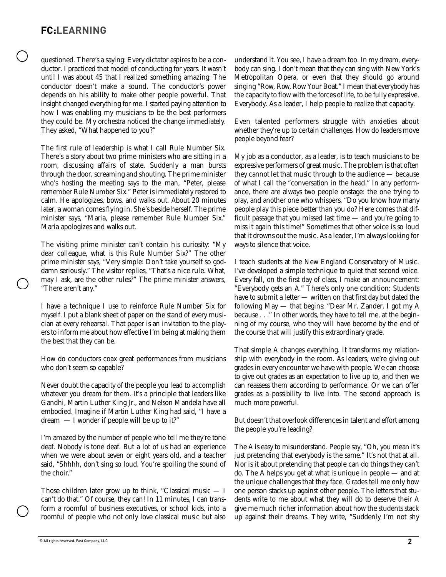#### **FC :L E A R N I N G**

questioned. There's a saying: Every dictator aspires to be a conductor. I practiced that model of conducting for years. It wasn't until I was about 45 that I realized something amazing: The conductor doesn't make a sound. The conductor's power depends on his ability to make other people powerful. That insight changed everything for me. I started paying attention to how I was enabling my musicians to be the best performers they could be. My orchestra noticed the change immediately. They asked, "What happened to you?"

The first rule of leadership is what I call Rule Number Six. There's a story about two prime ministers who are sitting in a room, discussing affairs of state. Suddenly a man bursts through the door, screaming and shouting. The prime minister who's hosting the meeting says to the man, "Peter, please remember Rule Number Six." Peter is immediately restored to calm. He apologizes, bows, and walks out. About 20 minutes later, a woman comes flying in. She's beside herself. The prime minister says, "Maria, please remember Rule Number Six." Maria apologizes and walks out.

The visiting prime minister can't contain his curiosity: "My dear colleague, what is this Rule Number Six?" The other prime minister says, "Very simple: Don't take yourself so goddamn seriously." The visitor replies, "That's a nice rule. What, may I ask, are the other rules?" The prime minister answers, "There aren't any."

I have a technique I use to reinforce Rule Number Six for myself. I put a blank sheet of paper on the stand of every musician at every rehearsal. That paper is an invitation to the players to inform me about how effective I'm being at making them the best that they can be.

How do conductors coax great performances from musicians who don't seem so capable?

Never doubt the capacity of the people you lead to accomplish whatever you dream for them. It's a principle that leaders like Gandhi, Martin Luther King Jr., and Nelson Mandela have all embodied. Imagine if Martin Luther King had said, "I have a dream — I wonder if people will be up to it?"

I'm amazed by the number of people who tell me they're tone deaf. Nobody is tone deaf. But a lot of us had an experience when we were about seven or eight years old, and a teacher said, "Shhhh, don't sing so loud. You're spoiling the sound of the choir."

Those children later grow up to think, "Classical music — I can't do that." Of course, they can! In 11 minutes, I can transform a roomful of business executives, or school kids, into a roomful of people who not only love classical music but also understand it. You see, I have a dream too. In my dream, everybody can sing. I don't mean that they can sing with New York's Metropolitan Opera, or even that they should go around singing "Row, Row, Row Your Boat." I mean that everybody has the capacity to flow with the forces of life, to be fully expressive. Everybody. As a leader, I help people to realize that capacity.

Even talented performers struggle with anxieties about whether they're up to certain challenges. How do leaders move people beyond fear?

My job as a conductor, as a leader, is to teach musicians to be expressive performers of great music. The problem is that often they cannot let that music through to the audience — because of what I call the "conversation in the head." In any performance, there are always two people onstage: the one trying to play, and another one who whispers, "Do you know how many people play this piece better than you do? Here comes that difficult passage that you missed last time — and you're going to miss it again this time!" Sometimes that other voice is so loud that it drowns out the music. As a leader, I'm always looking for ways to silence that voice.

I teach students at the New England Conservatory of Music. I've developed a simple technique to quiet that second voice. Every fall, on the first day of class, I make an announcement: "Everybody gets an A." There's only one condition: Students have to submit a letter — written on that first day but dated the following May — that begins: "Dear Mr. Zander, I got my A because . . ." In other words, they have to tell me, at the beginning of my course, who they will have become by the end of the course that will justify this extraordinary grade.

That simple A changes everything. It transforms my relationship with everybody in the room. As leaders, we're giving out grades in every encounter we have with people. We can choose to give out grades as an expectation to live up to, and then we can reassess them according to performance. Or we can offer grades as a possibility to live into. The second approach is much more powerful.

But doesn't that overlook differences in talent and effort among the people you're leading?

The A is easy to misunderstand. People say, "Oh, you mean it's just pretending that everybody is the same." It's not that at all. Nor is it about pretending that people can do things they can't do. The A helps you get at what is unique in people — and at the unique challenges that they face. Grades tell me only how one person stacks up against other people. The letters that students write to me about what they will do to deserve their A give me much richer information about how the students stack up against their dreams. They write, "Suddenly I'm not shy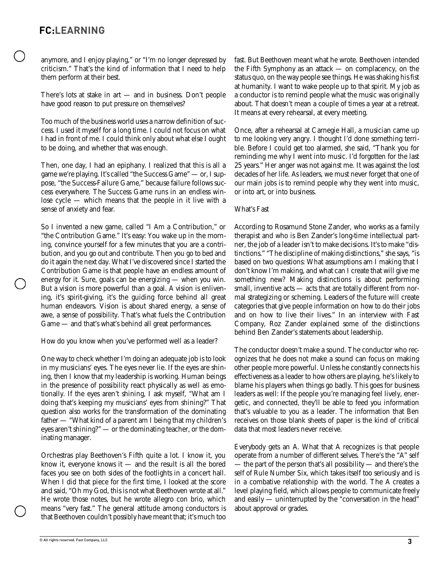### **FC :L E A R N I N G**

anymore, and I enjoy playing," or "I'm no longer depressed by criticism." That's the kind of information that I need to help them perform at their best.

There's lots at stake in art — and in business. Don't people have good reason to put pressure on themselves?

Too much of the business world uses a narrow definition of success. I used it myself for a long time. I could not focus on what I had in front of me. I could think only about what else I ought to be doing, and whether that was enough.

Then, one day, I had an epiphany. I realized that this is all a game we're playing. It's called "the Success Game" — or, I suppose, "the Success-Failure Game," because failure follows success everywhere. The Success Game runs in an endless winlose cycle — which means that the people in it live with a sense of anxiety and fear.

So I invented a new game, called "I Am a Contribution," or "the Contribution Game." It's easy: You wake up in the morning, convince yourself for a few minutes that you are a contribution, and you go out and contribute. Then you go to bed and do it again the next day. What I've discovered since I started the Contribution Game is that people have an endless amount of energy for it. Sure, goals can be energizing — when you win. But a vision is more powerful than a goal. A vision is enlivening, it's spirit-giving, it's the guiding force behind all great human endeavors. Vision is about shared energy, a sense of awe, a sense of possibility. That's what fuels the Contribution Game — and that's what's behind all great performances.

How do you know when you've performed well as a leader?

One way to check whether I'm doing an adequate job is to look in my musicians' eyes. The eyes never lie. If the eyes are shining, then I know that my leadership is working. Human beings in the presence of possibility react physically as well as emotionally. If the eyes aren't shining, I ask myself, "What am I doing that's keeping my musicians' eyes from shining?" That question also works for the transformation of the dominating father — "What kind of a parent am I being that my children's eyes aren't shining?" — or the dominating teacher, or the dominating manager.

Orchestras play Beethoven's Fifth quite a lot. I know it, you know it, everyone knows it — and the result is all the bored faces you see on both sides of the footlights in a concert hall. When I did that piece for the first time, I looked at the score and said, "Oh my God, this is not what Beethoven wrote at all." He wrote those notes, but he wrote allegro con brio, which means "very fast." The general attitude among conductors is that Beethoven couldn't possibly have meant that; it's much too fast. But Beethoven meant what he wrote. Beethoven intended the Fifth Symphony as an attack — on complacency, on the status quo, on the way people see things. He was shaking his fist at humanity. I want to wake people up to that spirit. My job as a conductor is to remind people what the music was originally about. That doesn't mean a couple of times a year at a retreat. It means at every rehearsal, at every meeting.

Once, after a rehearsal at Carnegie Hall, a musician came up to me looking very angry. I thought I'd done something terrible. Before I could get too alarmed, she said, "Thank you for reminding me why I went into music. I'd forgotten for the last 25 years." Her anger was not against me. It was against the lost decades of her life. As leaders, we must never forget that one of our main jobs is to remind people why they went into music, or into art, or into business.

#### What's Fast

According to Rosamund Stone Zander, who works as a family therapist and who is Ben Zander's long-time intellectual partner, the job of a leader isn't to make decisions. It's to make "distinctions." "The discipline of making distinctions," she says, "is based on two questions: What assumptions am I making that I don't know I'm making, and what can I create that will give me something new? Making distinctions is about performing small, inventive acts — acts that are totally different from normal strategizing or scheming. Leaders of the future will create categories that give people information on how to do their jobs and on how to live their lives." In an interview with Fast Company, Roz Zander explained some of the distinctions behind Ben Zander's statements about leadership.

The conductor doesn't make a sound. The conductor who recognizes that he does not make a sound can focus on making other people more powerful. Unless he constantly connects his effectiveness as a leader to how others are playing, he's likely to blame his players when things go badly. This goes for business leaders as well: If the people you're managing feel lively, energetic, and connected, they'll be able to feed you information that's valuable to you as a leader. The information that Ben receives on those blank sheets of paper is the kind of critical data that most leaders never receive.

Everybody gets an A. What that A recognizes is that people operate from a number of different selves. There's the "A" self — the part of the person that's all possibility — and there's the self of Rule Number Six, which takes itself too seriously and is in a combative relationship with the world. The A creates a level playing field, which allows people to communicate freely and easily — uninterrupted by the "conversation in the head" about approval or grades.